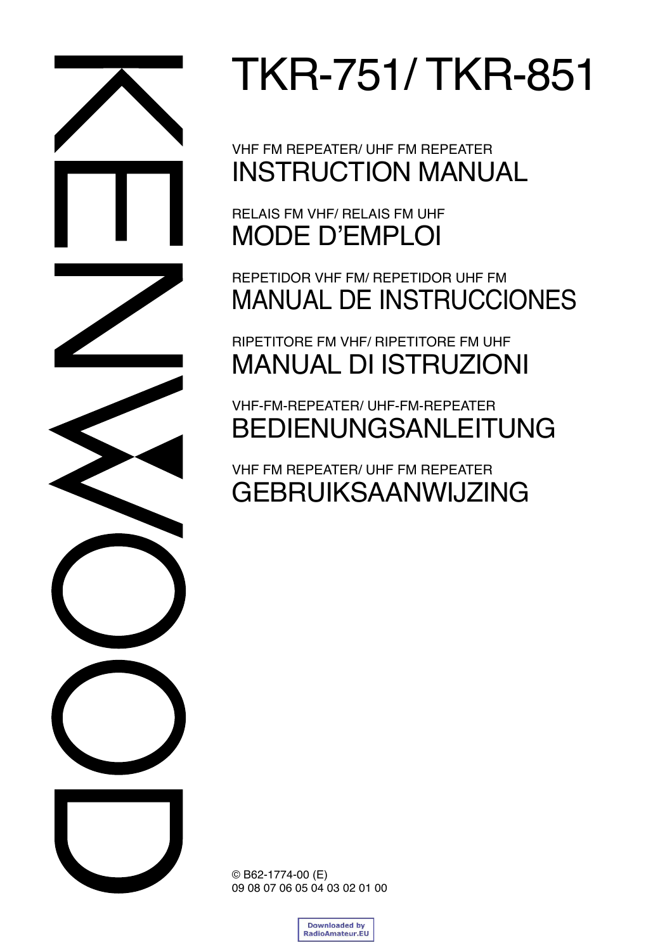

TKR-751/ TKR-851

VHF FM REPEATER/ UHF FM REPEATER INSTRUCTION MANUAL

RELAIS FM VHF/ RELAIS FM UHF MODE D'EMPLOI

REPETIDOR VHF FM/ REPETIDOR UHF FM MANUAL DE INSTRUCCIONES

RIPETITORE FM VHF/ RIPETITORE FM UHF MANUAL DI ISTRUZIONI

VHF-FM-REPEATER/ UHF-FM-REPEATER BEDIENUNGSANLEITUNG

VHF FM REPEATER/ UHF FM REPEATER GEBRUIKSAANWIJZING

© B62-1774-00 (E) 09 08 07 06 05 04 03 02 01 00

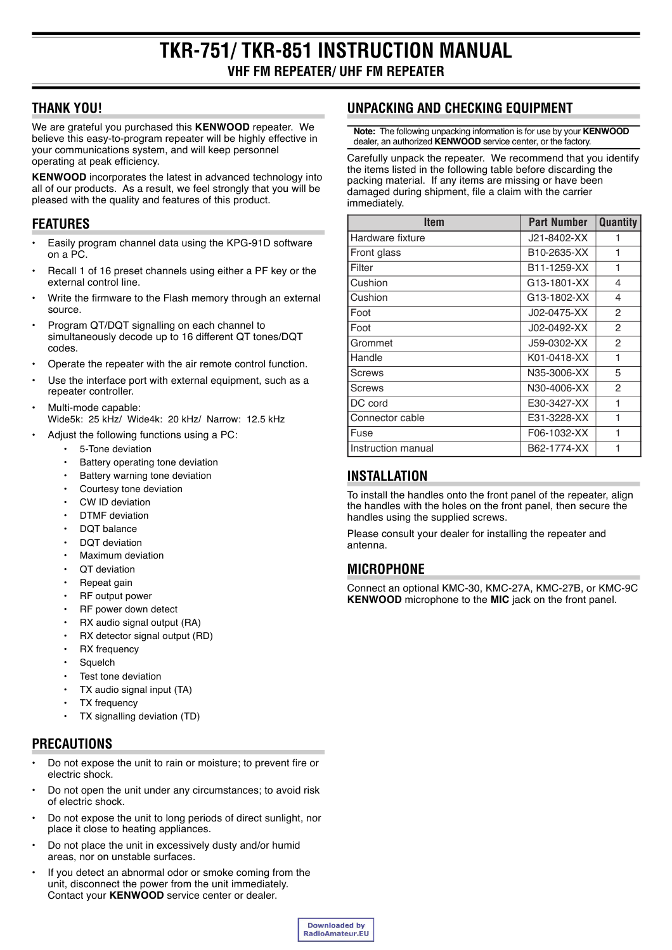# **THANK YOU!**

We are grateful you purchased this KENWOOD repeater. We believe this easy-to-program repeater will be highly effective in your communications system, and will keep personnel operating at peak efficiency.

**KENWOOD** incorporates the latest in advanced technology into all of our products. As a result, we feel strongly that you will be pleased with the quality and features of this product.

# **FEATURES**

- Easily program channel data using the KPG-91D software on a PC.
- Recall 1 of 16 preset channels using either a PF key or the external control line.
- Write the firmware to the Flash memory through an external source.
- Program QT/DQT signalling on each channel to simultaneously decode up to 16 different QT tones/DQT codes.
- Operate the repeater with the air remote control function.
- Use the interface port with external equipment, such as a repeater controller.
- Multi-mode capable: Wide5k: 25 kHz/ Wide4k: 20 kHz/ Narrow: 12.5 kHz
	- Adjust the following functions using a PC:
		- 5-Tone deviation
		- Battery operating tone deviation
			- Battery warning tone deviation
			- Courtesy tone deviation
			- CW ID deviation
			- **DTMF** deviation
			- DQT balance
			- **DOT** deviation
			- Maximum deviation
			- QT deviation
			- Repeat gain
			- RF output power
			- RF power down detect
			- RX audio signal output (RA)
			- RX detector signal output (RD)
			- RX frequency
			- Squelch
			- Test tone deviation
			- TX audio signal input (TA)
			- **TX** frequency
			- TX signalling deviation (TD)

# **PRECAUTIONS**

- Do not expose the unit to rain or moisture; to prevent fire or electric shock.
- Do not open the unit under any circumstances; to avoid risk of electric shock.
- Do not expose the unit to long periods of direct sunlight, nor place it close to heating appliances.
- Do not place the unit in excessively dusty and/or humid areas, nor on unstable surfaces.
- If you detect an abnormal odor or smoke coming from the unit, disconnect the power from the unit immediately. Contact your KENWOOD service center or dealer.

# UNPACKING AND CHECKING EQUIPMENT

Note: The following unpacking information is for use by your KENWOOD dealer, an authorized KENWOOD service center, or the factory.

Carefully unpack the repeater. We recommend that you identify the items listed in the following table before discarding the packing material. If any items are missing or have been damaged during shipment, file a claim with the carrier immediately.

| <b>Item</b>        | <b>Part Number</b> | <b>Quantity</b> |
|--------------------|--------------------|-----------------|
| Hardware fixture   | J21-8402-XX        | 1               |
| Front glass        | B10-2635-XX        | 1               |
| Filter             | B11-1259-XX        | 1               |
| Cushion            | G13-1801-XX        | 4               |
| Cushion            | G13-1802-XX        | 4               |
| Foot               | J02-0475-XX        | $\overline{2}$  |
| Foot               | J02-0492-XX        | $\mathcal{P}$   |
| Grommet            | J59-0302-XX        | 2               |
| Handle             | K01-0418-XX        | 1               |
| <b>Screws</b>      | N35-3006-XX        | 5               |
| <b>Screws</b>      | N30-4006-XX        | 2               |
| DC cord            | E30-3427-XX        | 1               |
| Connector cable    | E31-3228-XX        | 1               |
| Fuse               | F06-1032-XX        | 1               |
| Instruction manual | B62-1774-XX        | 1               |

## **INSTALLATION**

To install the handles onto the front panel of the repeater, align the handles with the holes on the front panel, then secure the handles using the supplied screws.

Please consult your dealer for installing the repeater and antenna

# **MICROPHONE**

Connect an optional KMC-30, KMC-27A, KMC-27B, or KMC-9C **KENWOOD** microphone to the MIC jack on the front panel.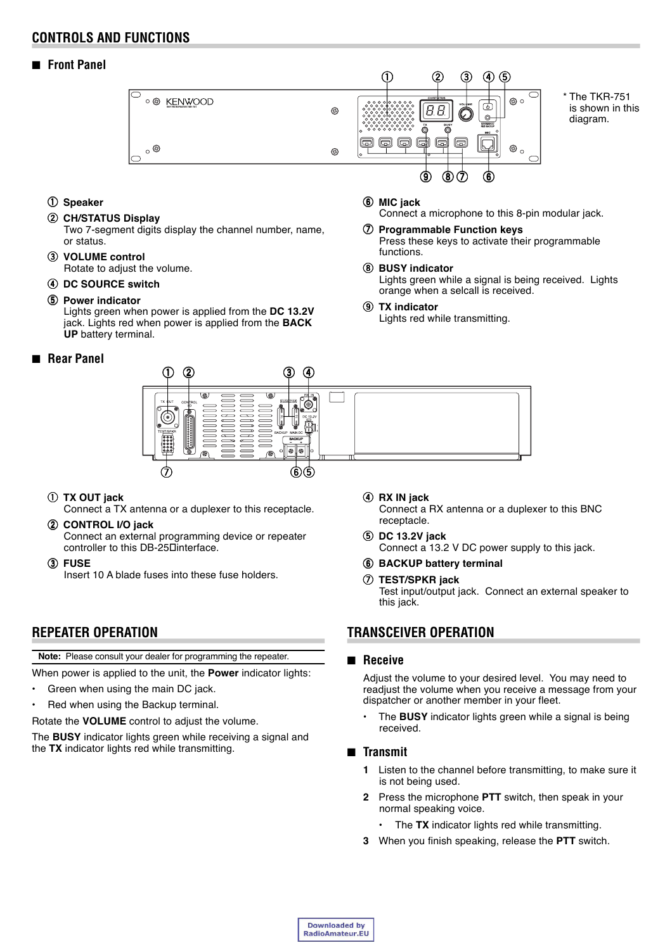## **CONTROLS AND FUNCTIONS**

■ **Front Panel**



y **MIC jack**

functions. i **BUSY indicator**

o **TX indicator**

q **Speaker**

#### **(2) CH/STATUS Display**

Two 7-segment digits display the channel number, name, or status.

#### e **VOLUME control** Rotate to adjust the volume.

**(4) DC SOURCE switch** 

#### **(5) Power indicator**

Lights green when power is applied from the **DC 13.2V** jack. Lights red when power is applied from the **BACK UP** battery terminal.

## ■ **Rear Panel**



## q **TX OUT jack**

Connect a TX antenna or a duplexer to this receptacle.

2 CONTROL I/O jack

Connect an external programming device or repeater controller to this DB-25Dinterface.

e **FUSE** Insert 10 A blade fuses into these fuse holders.

# **REPEATER OPERATION**

**Note:** Please consult your dealer for programming the repeater.

When power is applied to the unit, the **Power** indicator lights:

- $\cdot$  Green when using the main DC jack.
- Red when using the Backup terminal.

Rotate the **VOLUME** control to adjust the volume.

The **BUSY** indicator lights green while receiving a signal and the **TX** indicator lights red while transmitting.

r **RX IN jack** Connect a RX antenna or a duplexer to this BNC receptacle.

Connect a microphone to this 8-pin modular jack.

Press these keys to activate their programmable

Lights green while a signal is being received. Lights

**(7) Programmable Function keys** 

orange when a selcall is received.

Lights red while transmitting.

- t **DC 13.2V jack** Connect a 13.2 V DC power supply to this jack.
- **6** BACKUP battery terminal

#### u **TEST/SPKR jack**

Test input/output jack. Connect an external speaker to this jack.

## **TRANSCEIVER OPERATION**

#### ■ **Receive**

Adjust the volume to your desired level. You may need to readjust the volume when you receive a message from your dispatcher or another member in your fleet.

• The **BUSY** indicator lights green while a signal is being received.

#### ■ **Transmit**

- **1** Listen to the channel before transmitting, to make sure it is not being used.
- **2** Press the microphone **PTT** switch, then speak in your normal speaking voice.
	- The TX indicator lights red while transmitting.
- **3** When you finish speaking, release the **PTT** switch.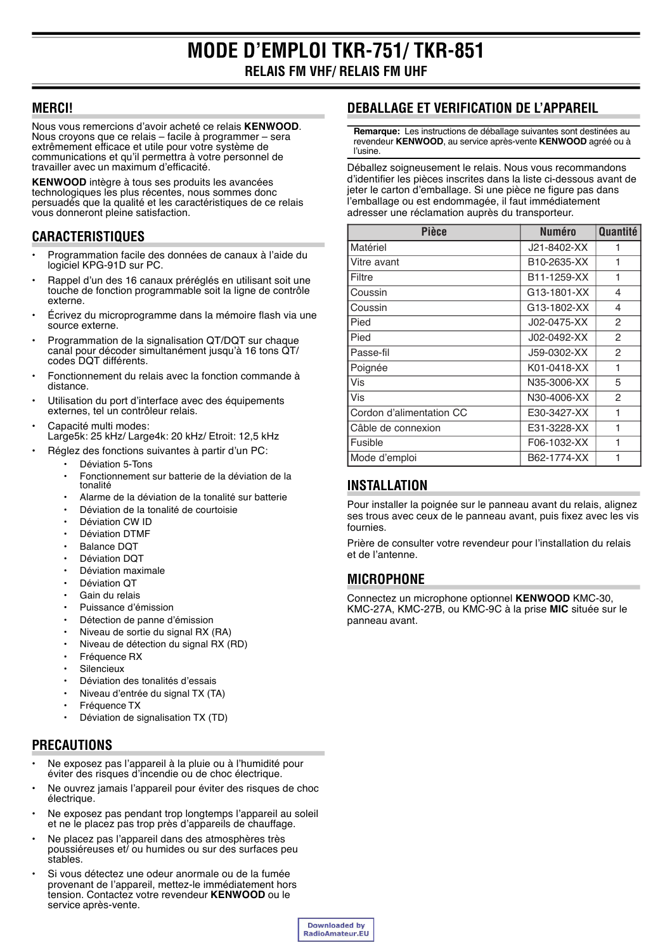## **MERCI!**

Nous vous remercions d'avoir acheté ce relais KENWOOD. Nous croyons que ce relais – facile à programmer – sera extrêmement efficace et utile pour votre système de communications et qu'il permettra à votre personnel de travailler avec un maximum d'efficacité.

KENWOOD intègre à tous ses produits les avancées technologiques les plus récentes, nous sommes donc persuadés que la qualité et les caractéristiques de ce relais vous donneront pleine satisfaction.

# **CARACTERISTIQUES**

- Programmation facile des données de canaux à l'aide du logiciel KPG-91D sur PC.
- Rappel d'un des 16 canaux préréglés en utilisant soit une  $\bullet$ touche de fonction programmable soit la ligne de contrôle externe.
- Écrivez du microprogramme dans la mémoire flash via une source externe.
- Programmation de la signalisation QT/DQT sur chaque canal pour décoder simultanément jusqu'à 16 tons QT/ codes DQT différents.
- Fonctionnement du relais avec la fonction commande à distance.
- Utilisation du port d'interface avec des équipements externes, tel un contrôleur relais.
- Capacité multi modes: Large5k: 25 kHz/ Large4k: 20 kHz/ Etroit: 12,5 kHz
	- Réglez des fonctions suivantes à partir d'un PC: Déviation 5-Tons
		- Fonctionnement sur batterie de la déviation de la tonalité
		- Alarme de la déviation de la tonalité sur batterie
		- Déviation de la tonalité de courtoisie
		- Déviation CW ID
		- **Déviation DTMF**
		- Balance DOT
		- Déviation DOT
		- Déviation maximale Déviation OT
		- Gain du relais
		- Puissance d'émission
		- Détection de panne d'émission
		- Niveau de sortie du signal RX (RA)
		- Niveau de détection du signal RX (RD)
		- Fréquence RX
		- Silencieux
		- Déviation des tonalités d'essais
		- Niveau d'entrée du signal TX (TA)
		- Fréquence TX
		- $\ddot{\phantom{a}}$ Déviation de signalisation TX (TD)

# **PRECAUTIONS**

- Ne exposez pas l'appareil à la pluie ou à l'humidité pour éviter des risques d'incendie ou de choc électrique.
- Ne ouvrez jamais l'appareil pour éviter des risques de choc électrique
- Ne exposez pas pendant trop longtemps l'appareil au soleil et ne le placez pas trop près d'appareils de chauffage.
- Ne placez pas l'appareil dans des atmosphères très poussiéreuses et/ ou humides ou sur des surfaces peu stables.
- Si vous détectez une odeur anormale ou de la fumée provenant de l'appareil, mettez-le immédiatement hors tension. Contactez votre revendeur KENWOOD ou le service après-vente.

# **DEBALLAGE ET VERIFICATION DE L'APPAREIL**

Remarque: Les instructions de déballage suivantes sont destinées au revendeur KENWOOD, au service après-vente KENWOOD agréé ou à **l'usine** 

Déballez soigneusement le relais. Nous vous recommandons d'identifier les pièces inscrites dans la liste ci-dessous avant de jeter le carton d'emballage. Si une pièce ne figure pas dans l'emballage ou est endommagée, il faut immédiatement adresser une réclamation auprès du transporteur.

| <b>Pièce</b>             | <b>Numéro</b> | Quantité |
|--------------------------|---------------|----------|
| Matériel                 | J21-8402-XX   | 1        |
| Vitre avant              | B10-2635-XX   | 1        |
| Filtre                   | B11-1259-XX   | 1        |
| Coussin                  | G13-1801-XX   | 4        |
| Coussin                  | G13-1802-XX   | 4        |
| Pied                     | J02-0475-XX   | 2        |
| Pied                     | J02-0492-XX   | 2        |
| Passe-fil                | J59-0302-XX   | 2        |
| Poignée                  | K01-0418-XX   | 1        |
| Vis                      | N35-3006-XX   | 5        |
| Vis                      | N30-4006-XX   | 2        |
| Cordon d'alimentation CC | E30-3427-XX   | 1        |
| Câble de connexion       | E31-3228-XX   | 1        |
| Fusible                  | F06-1032-XX   | 1        |
| Mode d'emploi            | B62-1774-XX   | 1        |

# **INSTALLATION**

Pour installer la poignée sur le panneau avant du relais, alignez ses trous avec ceux de le panneau avant, puis fixez avec les vis fournies.

Prière de consulter votre revendeur pour l'installation du relais et de l'antenne.

# **MICROPHONE**

Connectez un microphone optionnel KENWOOD KMC-30, KMC-27A, KMC-27B, ou KMC-9C à la prise MIC située sur le panneau avant.

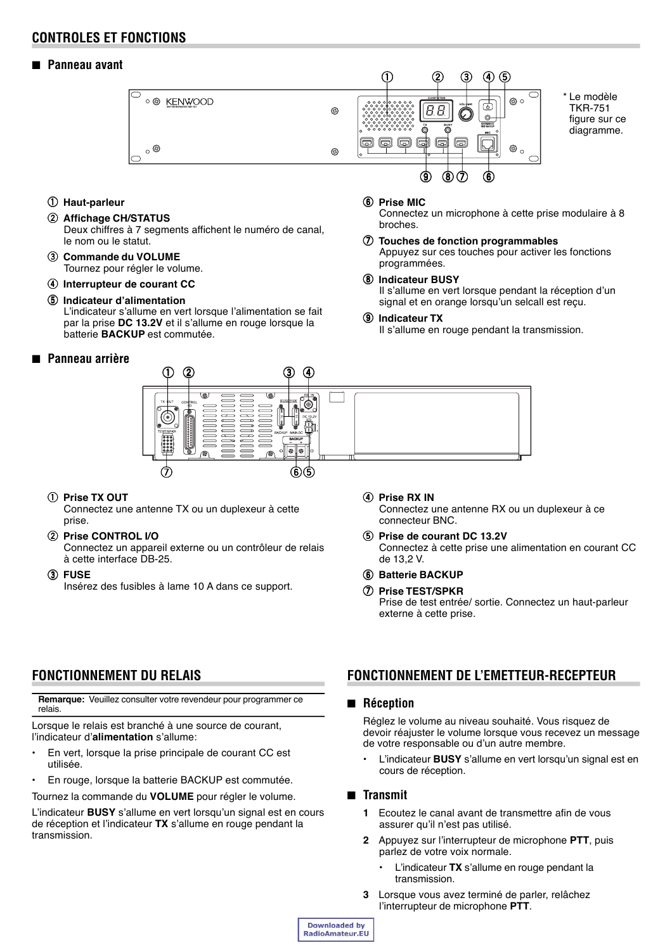## **CONTROLES ET FONCTIONS**

## ■ **Panneau avant**



figure sur ce diagramme.

- $@$  Haut-parleur
- 2 Affichage CH/STATUS
	- Deux chiffres à 7 segments affichent le numéro de canal, le nom ou le statut.
- e **Commande du VOLUME** Tournez pour régler le volume.
- **(4) Interrupteur de courant CC**
- **5** Indicateur d'alimentation

L'indicateur s'allume en vert lorsque l'alimentation se fait par la prise **DC 13.2V** et il s'allume en rouge lorsque la batterie **BACKUP** est commutée.

## ■ **Panneau arrière**

#### Appuyez sur ces touches pour activer les fonctions programmées.

 $@$  Prise MIC

broches.

i **Indicateur BUSY** Il s'allume en vert lorsque pendant la réception d'un signal et en orange lorsqu'un selcall est reçu.

u **Touches de fonction programmables**

Connectez un microphone à cette prise modulaire à 8

#### o **Indicateur TX**

Il s'allume en rouge pendant la transmission.



#### q **Prise TX OUT**

Connectez une antenne TX ou un duplexeur à cette prise.

## w **Prise CONTROL I/O**

Connectez un appareil externe ou un contrôleur de relais à cette interface DB-25.

e **FUSE**

Insérez des fusibles à lame 10 A dans ce support.

- **(4) Prise RX IN** Connectez une antenne RX ou un duplexeur à ce connecteur BNC.
- **(5) Prise de courant DC 13.2V** Connectez à cette prise une alimentation en courant CC de 13,2 V.
- y **Batterie BACKUP**
- u **Prise TEST/SPKR** Prise de test entrée/ sortie. Connectez un haut-parleur externe à cette prise.

# **FONCTIONNEMENT DU RELAIS**

**Remarque:** Veuillez consulter votre revendeur pour programmer ce relais.

Lorsque le relais est branché à une source de courant. l'indicateur d'**alimentation** s'allume:

- **En vert, lorsque la prise principale de courant CC est** utilisée.
- **En rouge, lorsque la batterie BACKUP est commutée.**

Tournez la commande du **VOLUME** pour régler le volume.

L'indicateur **BUSY** s'allume en vert lorsqu'un signal est en cours de réception et l'indicateur **TX** s'allume en rouge pendant la transmission.

## **FONCTIONNEMENT DE L'EMETTEUR-RECEPTEUR**

## ■ **Réception**

Réglez le volume au niveau souhaité. Vous risquez de devoir réajuster le volume lorsque vous recevez un message de votre responsable ou d'un autre membre.

L'indicateur **BUSY** s'allume en vert lorsqu'un signal est en cours de réception.

## ■ **Transmit**

- **1** Ecoutez le canal avant de transmettre afin de vous assurer qu'il n'est pas utilisé.
- **2** Appuyez sur l'interrupteur de microphone **PTT**, puis parlez de votre voix normale.
	- L'indicateur TX s'allume en rouge pendant la transmission.
- **3** Lorsque vous avez terminé de parler, relâchez l'interrupteur de microphone **PTT**.

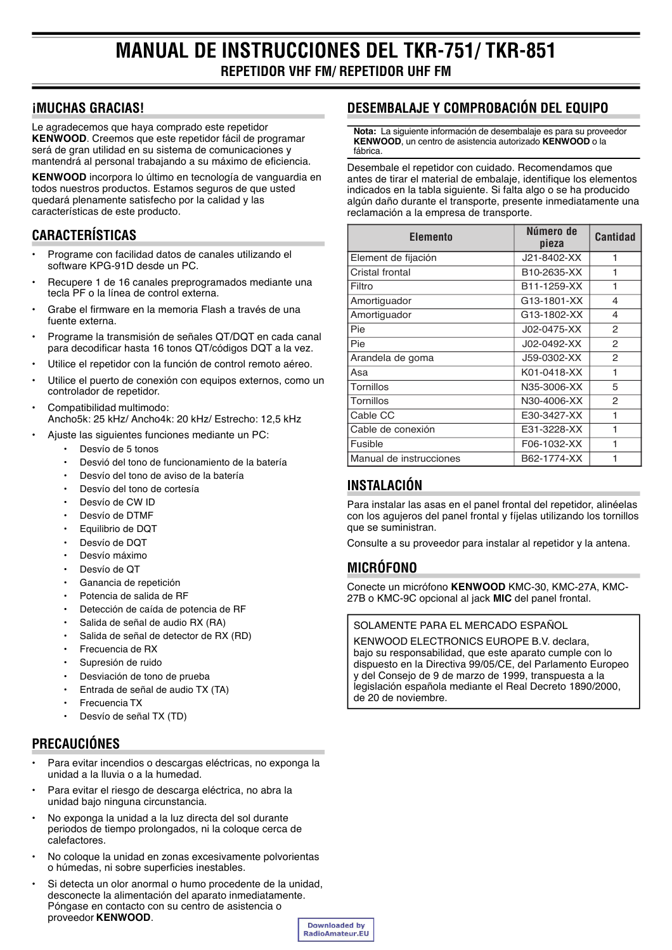# **IMUCHAS GRACIAS!**

Le agradecemos que haya comprado este repetidor KENWOOD. Creemos que este repetidor fácil de programar será de gran utilidad en su sistema de comunicaciones y mantendrá al personal trabajando a su máximo de eficiencia.

KENWOOD incorpora lo último en tecnología de vanquardia en todos nuestros productos. Estamos seguros de que usted quedará plenamente satisfecho por la calidad y las características de este producto.

## **CARACTERÍSTICAS**

- Programe con facilidad datos de canales utilizando el software KPG-91D desde un PC.
- Recupere 1 de 16 canales preprogramados mediante una tecla PF o la línea de control externa.
- Grabe el firmware en la memoria Flash a través de una fuente externa
- Programe la transmisión de señales QT/DQT en cada canal para decodificar hasta 16 tonos QT/códigos DQT a la vez.
- Utilice el repetidor con la función de control remoto aéreo.
- Utilice el puerto de conexión con equipos externos, como un controlador de repetidor.
- Compatibilidad multimodo: Ancho5k: 25 kHz/ Ancho4k: 20 kHz/ Estrecho: 12.5 kHz
	- Ajuste las siguientes funciones mediante un PC:
		- Desvío de 5 tonos
		- Desvió del tono de funcionamiento de la batería
		- Desvío del tono de aviso de la batería
		- Desvío del tono de cortesía
		- Desvío de CW ID
		- Desvío de DTMF
		- Equilibrio de DQT
		- Desvío de DOT
		- Desvío máximo
		- Desvío de QT
		- Ganancia de repetición
		- Potencia de salida de RF
		- Detección de caída de potencia de RF
		- Salida de señal de audio RX (RA)
		- Salida de señal de detector de RX (RD)
		- Frecuencia de RX
		- Supresión de ruido
		- Desviación de tono de prueba
		- Entrada de señal de audio TX (TA)
		- Frecuencia TX
		- Desvío de señal TX (TD)

# **PRECAUCIÓNES**

- Para evitar incendios o descargas eléctricas, no exponga la unidad a la lluvia o a la humedad.
- $\overline{a}$ Para evitar el riesgo de descarga eléctrica, no abra la unidad bajo ninguna circunstancia.
- No exponga la unidad a la luz directa del sol durante periodos de tiempo prolongados, ni la coloque cerca de calefactores
- No coloque la unidad en zonas excesivamente polvorientas o húmedas, ni sobre superficies inestables.
- Si detecta un olor anormal o humo procedente de la unidad, desconecte la alimentación del aparato inmediatamente. Póngase en contacto con su centro de asistencia o proveedor KENWOOD.

# DESEMBALAJE Y COMPROBACIÓN DEL EQUIPO

Nota: La siguiente información de desembalaie es para su proveedor KENWOOD, un centro de asistencia autorizado KENWOOD o la fábrica.

Desembale el repetidor con cuidado. Recomendamos que antes de tirar el material de embalaje, identifique los elementos indicados en la tabla siguiente. Si falta algo o se ha producido algún daño durante el transporte, presente inmediatamente una reclamación a la empresa de transporte.

| Elemento                | Número de<br>pieza | <b>Cantidad</b> |
|-------------------------|--------------------|-----------------|
| Element de fijación     | J21-8402-XX        | 1               |
| l Cristal frontal       | B10-2635-XX        | 1               |
| Filtro                  | B11-1259-XX        | 1               |
| Amortiguador            | G13-1801-XX        | 4               |
| Amortiguador            | G13-1802-XX        | 4               |
| Pie                     | J02-0475-XX        | 2               |
| l Pie                   | J02-0492-XX        | 2               |
| Arandela de goma        | J59-0302-XX        | 2               |
| l Asa                   | K01-0418-XX        | 1               |
| <b>Tornillos</b>        | N35-3006-XX        | 5               |
| l Tornillos             | N30-4006-XX        | $\mathcal{P}$   |
| Cable CC                | E30-3427-XX        | 1               |
| Cable de conexión       | E31-3228-XX        |                 |
| Fusible                 | F06-1032-XX        | 1               |
| Manual de instrucciones | B62-1774-XX        |                 |

# INSTALACIÓN

Para instalar las asas en el panel frontal del repetidor, alinéelas con los aquieros del panel frontal y fíjelas utilizando los tornillos que se suministran.

Consulte a su proveedor para instalar al repetidor y la antena.

# **MICRÓFONO**

Conecte un micrófono KENWOOD KMC-30, KMC-27A, KMC-27B o KMC-9C opcional al jack MIC del panel frontal.

## SOLAMENTE PARA EL MERCADO ESPAÑOL

KENWOOD ELECTRONICS EUROPE B.V. declara, bajo su responsabilidad, que este aparato cumple con lo dispuesto en la Directiva 99/05/CE, del Parlamento Europeo y del Consejo de 9 de marzo de 1999, transpuesta a la legislación española mediante el Real Decreto 1890/2000. de 20 de noviembre.

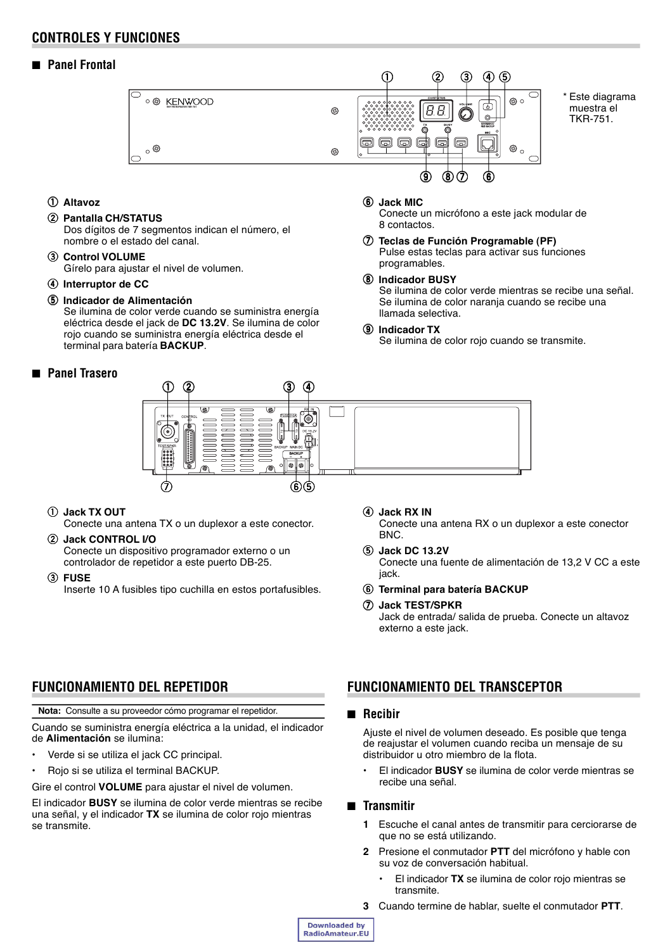## **CONTROLES Y FUNCIONES**

## ■ **Panel Frontal**



#### q **Altavoz**

#### 2 Pantalla CH/STATUS

Dos dígitos de 7 segmentos indican el número, el nombre o el estado del canal.

- e **Control VOLUME** Gírelo para ajustar el nivel de volumen.
- **(4) Interruptor de CC**

#### **(5) Indicador de Alimentación**

Se ilumina de color verde cuando se suministra energía eléctrica desde el jack de **DC 13.2V**. Se ilumina de color rojo cuando se suministra energía eléctrica desde el terminal para batería **BACKUP**.

## ■ **Panel Trasero**

#### y **Jack MIC**

Conecte un micrófono a este jack modular de 8 contactos.

u **Teclas de Función Programable (PF)** Pulse estas teclas para activar sus funciones programables.

## i **Indicador BUSY**

Se ilumina de color verde mientras se recibe una señal. Se ilumina de color naranja cuando se recibe una llamada selectiva.

#### o **Indicador TX**

Se ilumina de color rojo cuando se transmite.



## q **Jack TX OUT**

Conecte una antena TX o un duplexor a este conector.

## w **Jack CONTROL I/O**

Conecte un dispositivo programador externo o un controlador de repetidor a este puerto DB-25.

e **FUSE**

Inserte 10 A fusibles tipo cuchilla en estos portafusibles.

## **4** Jack RX IN

Conecte una antena RX o un duplexor a este conector BNC.

#### t **Jack DC 13.2V**

Conecte una fuente de alimentación de 13,2 V CC a este jack.

#### y **Terminal para batería BACKUP**

#### u **Jack TEST/SPKR**

Jack de entrada/ salida de prueba. Conecte un altavoz externo a este jack.

## **FUNCIONAMIENTO DEL REPETIDOR**

**Nota:** Consulte a su proveedor cómo programar el repetidor.

Cuando se suministra energía eléctrica a la unidad, el indicador de **Alimentación** se ilumina:

- Verde si se utiliza el jack CC principal.
- Rojo si se utiliza el terminal BACKUP.
- Gire el control **VOLUME** para ajustar el nivel de volumen.

El indicador **BUSY** se ilumina de color verde mientras se recibe una señal, y el indicador **TX** se ilumina de color rojo mientras se transmite.

## **FUNCIONAMIENTO DEL TRANSCEPTOR**

## ■ **Recibir**

Ajuste el nivel de volumen deseado. Es posible que tenga de reajustar el volumen cuando reciba un mensaje de su distribuidor u otro miembro de la flota.

ï El indicador **BUSY** se ilumina de color verde mientras se recibe una señal.

## ■ **Transmitir**

- **1** Escuche el canal antes de transmitir para cerciorarse de que no se está utilizando.
- **2** Presione el conmutador **PTT** del micrófono y hable con su voz de conversación habitual.
	- El indicador TX se ilumina de color rojo mientras se transmite.
- **3** Cuando termine de hablar, suelte el conmutador **PTT**.

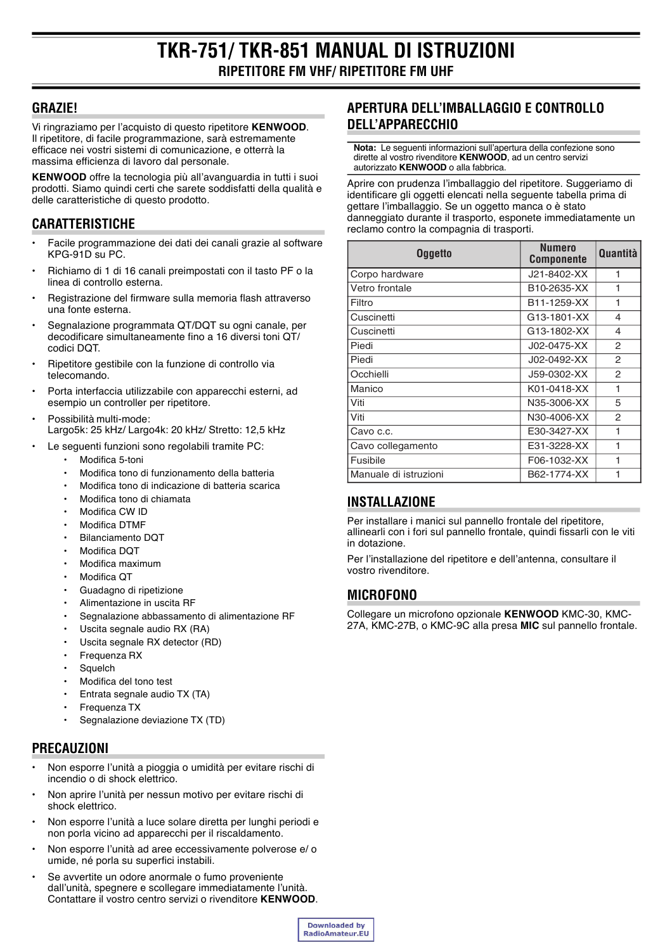## **GRAZIE!**

Vi ringraziamo per l'acquisto di questo ripetitore KENWOOD. Il ripetitore, di facile programmazione, sarà estremamente efficace nei vostri sistemi di comunicazione, e otterrà la massima efficienza di lavoro dal personale.

KENWOOD offre la tecnologia più all'avanguardia in tutti i suoi prodotti. Siamo quindi certi che sarete soddisfatti della qualità e delle caratteristiche di questo prodotto.

# **CARATTERISTICHE**

- Facile programmazione dei dati dei canali grazie al software  $KPG-91D$   $SU<sub>2</sub>PC$
- Richiamo di 1 di 16 canali preimpostati con il tasto PF o la linea di controllo esterna.
- Registrazione del firmware sulla memoria flash attraverso una fonte esterna.
- Segnalazione programmata QT/DQT su ogni canale, per decodificare simultaneamente fino a 16 diversi toni QT/ codici DQT.
- Ripetitore gestibile con la funzione di controllo via telecomando.
- Porta interfaccia utilizzabile con apparecchi esterni, ad esempio un controller per ripetitore.
- Possibilità multi-mode: Largo5k: 25 kHz/ Largo4k: 20 kHz/ Stretto: 12,5 kHz
- Le sequenti funzioni sono regolabili tramite PC:
	- Modifica 5-toni
	- Modifica tono di funzionamento della batteria
	- Modifica tono di indicazione di batteria scarica
	- Modifica tono di chiamata
	- Modifica CW ID
	- Modifica DTMF
	- **Bilanciamento DQT**
	- Modifica DQT
	- Modifica maximum
	- Modifica OT
	- Guadagno di ripetizione
	- Alimentazione in uscita RF
	- Segnalazione abbassamento di alimentazione RF
	- Uscita segnale audio RX (RA)
	- Uscita segnale RX detector (RD)
	- Frequenza RX
	- Squelch
	- Modifica del tono test
	- Entrata segnale audio TX (TA)
	- Frequenza TX
	- Segnalazione deviazione TX (TD)

## **PRECAUZIONI**

- Non esporre l'unità a pioggia o umidità per evitare rischi di incendio o di shock elettrico.
- Non aprire l'unità per nessun motivo per evitare rischi di shock elettrico.
- Non esporre l'unità a luce solare diretta per lunghi periodi e non porla vicino ad apparecchi per il riscaldamento.
- Non esporre l'unità ad aree eccessivamente polverose e/o umide, né porla su superfici instabili.
- Se avvertite un odore anormale o fumo proveniente dall'unità, spegnere e scollegare immediatamente l'unità. Contattare il vostro centro servizi o rivenditore KENWOOD.

# APERTURA DELL'IMBALLAGGIO E CONTROLLO **DELL'APPARECCHIO**

Nota: Le seguenti informazioni sull'apertura della confezione sono dirette al vostro rivenditore KENWOOD, ad un centro servizi autorizzato KENWOOD o alla fabbrica.

Aprire con prudenza l'imballaggio del ripetitore. Suggeriamo di identificare gli oggetti elencati nella seguente tabella prima di gettare l'imballaggio. Se un oggetto manca o è stato danneggiato durante il trasporto, esponete immediatamente un reclamo contro la compagnia di trasporti.

| <b>Oggetto</b>        | Numero<br><b>Componente</b> | <b>Quantità</b> |
|-----------------------|-----------------------------|-----------------|
| Corpo hardware        | J21-8402-XX                 | 1               |
| Vetro frontale        | B10-2635-XX                 | 1               |
| Filtro                | B11-1259-XX                 | 1               |
| Cuscinetti            | G13-1801-XX                 | 4               |
| Cuscinetti            | G13-1802-XX                 | 4               |
| Piedi                 | J02-0475-XX                 | 2               |
| Piedi                 | J02-0492-XX                 | 2               |
| Occhielli             | J59-0302-XX                 | 2               |
| Manico                | K01-0418-XX                 | 1               |
| Viti                  | N35-3006-XX                 | 5               |
| Viti                  | N30-4006-XX                 | 2               |
| Cavo c.c.             | E30-3427-XX                 | 1               |
| Cavo collegamento     | E31-3228-XX                 | 1               |
| Fusibile              | F06-1032-XX                 | 1               |
| Manuale di istruzioni | B62-1774-XX                 | 1               |

# **INSTALLAZIONE**

Per installare i manici sul pannello frontale del ripetitore, allinearli con i fori sul pannello frontale, quindi fissarli con le viti in dotazione.

Per l'installazione del ripetitore e dell'antenna, consultare il vostro rivenditore.

# **MICROFONO**

Collegare un microfono opzionale KENWOOD KMC-30, KMC-27A, KMC-27B, o KMC-9C alla presa MIC sul pannello frontale.

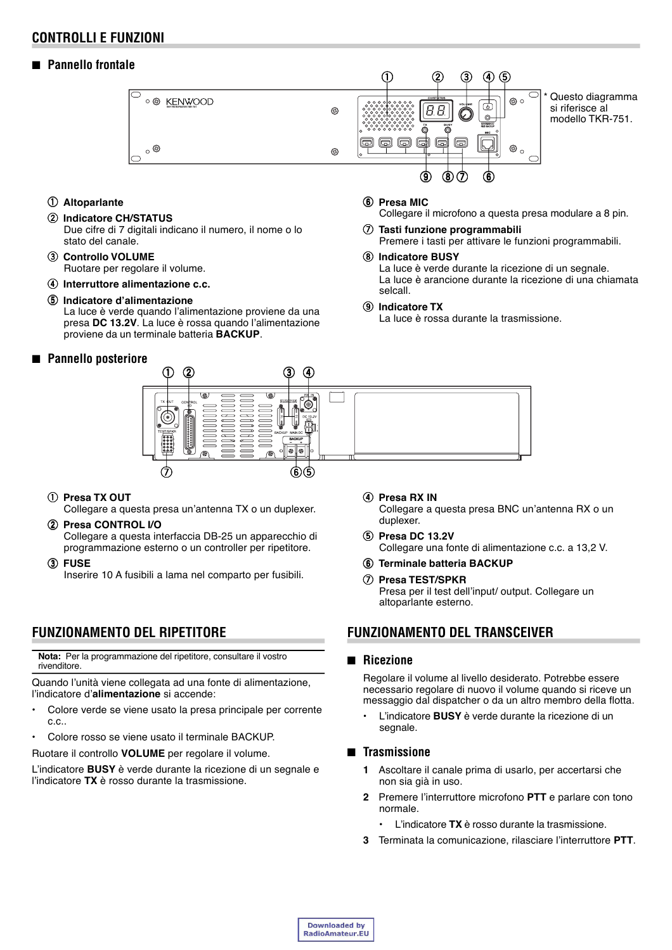## **CONTROLLI E FUNZIONI**

## ■ **Pannello frontale**



- q **Altoparlante**
- $@$  Indicatore CH/STATUS
	- Due cifre di 7 digitali indicano il numero, il nome o lo stato del canale.
- e **Controllo VOLUME** Ruotare per regolare il volume.
- r **Interruttore alimentazione c.c.**
- **(5) Indicatore d'alimentazione**

La luce è verde quando l'alimentazione proviene da una presa **DC 13.2V**. La luce è rossa quando l'alimentazione proviene da un terminale batteria **BACKUP**.

■ **Pannello posteriore**



Collegare il microfono a questa presa modulare a 8 pin.

u **Tasti funzione programmabili**

Premere i tasti per attivare le funzioni programmabili.

 $\circ$  **Indicatore BUSY** 

La luce è verde durante la ricezione di un segnale. La luce è arancione durante la ricezione di una chiamata selcall.

o **Indicatore TX**

La luce è rossa durante la trasmissione.



q **Presa TX OUT**

Collegare a questa presa un'antenna TX o un duplexer.

- w **Presa CONTROL I/O** Collegare a questa interfaccia DB-25 un apparecchio di programmazione esterno o un controller per ripetitore.
- e **FUSE**

Inserire 10 A fusibili a lama nel comparto per fusibili.

# **FUNZIONAMENTO DEL RIPETITORE**

**Nota:** Per la programmazione del ripetitore, consultare il vostro rivenditore.

Quando l'unità viene collegata ad una fonte di alimentazione, l'indicatore d'**alimentazione** si accende:

- Colore verde se viene usato la presa principale per corrente c.c..
- Colore rosso se viene usato il terminale BACKUP.

Ruotare il controllo **VOLUME** per regolare il volume.

L'indicatore **BUSY** è verde durante la ricezione di un segnale e l'indicatore **TX** è rosso durante la trasmissione.

- **(4) Presa RX IN** Collegare a questa presa BNC un'antenna RX o un duplexer.
- t **Presa DC 13.2V** Collegare una fonte di alimentazione c.c. a 13,2 V.
- **6** Terminale batteria BACKUP
- u **Presa TEST/SPKR** Presa per il test dell'input/ output. Collegare un altoparlante esterno.

## **FUNZIONAMENTO DEL TRANSCEIVER**

## ■ **Ricezione**

Regolare il volume al livello desiderato. Potrebbe essere necessario regolare di nuovo il volume quando si riceve un messaggio dal dispatcher o da un altro membro della flotta.

L'indicatore **BUSY** è verde durante la ricezione di un segnale.

## ■ **Trasmissione**

- **1** Ascoltare il canale prima di usarlo, per accertarsi che non sia già in uso.
- **2** Premere l'interruttore microfono **PTT** e parlare con tono normale.
	- L'indicatore **TX** è rosso durante la trasmissione.
- **3** Terminata la comunicazione, rilasciare l'interruttore **PTT**.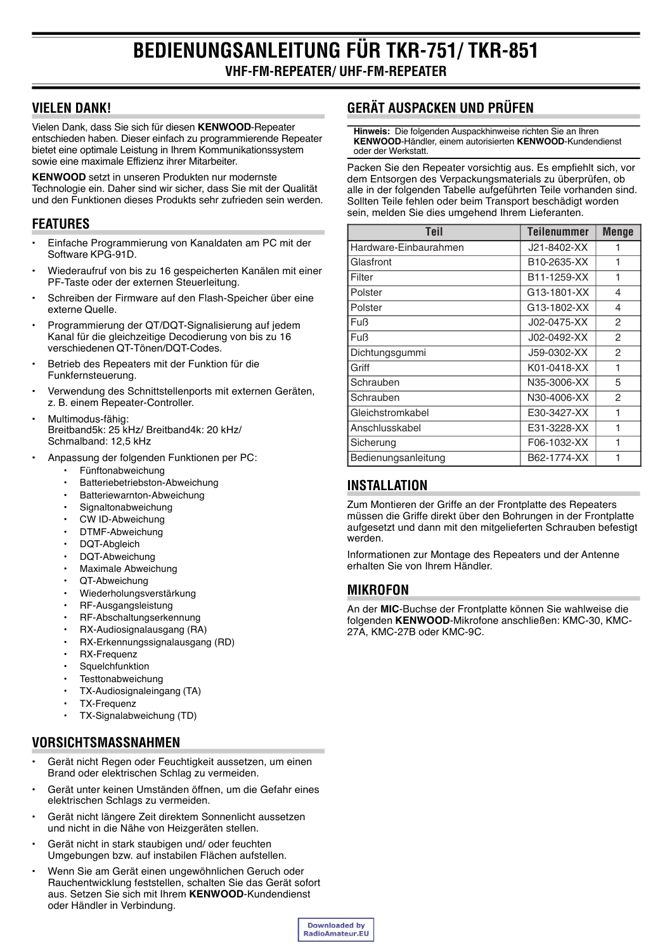# **VIELEN DANK!**

Vielen Dank, dass Sie sich für diesen KENWOOD-Repeater entschieden haben. Dieser einfach zu programmierende Repeater bietet eine optimale Leistung in Ihrem Kommunikationssystem sowie eine maximale Effizienz ihrer Mitarbeiter.

**KENWOOD** setzt in unseren Produkten nur modernste Technologie ein. Daher sind wir sicher, dass Sie mit der Qualität und den Funktionen dieses Produkts sehr zufrieden sein werden.

# **FEATURES**

- Einfache Programmierung von Kanaldaten am PC mit der Software KPG-91D.
- Wiederaufruf von bis zu 16 gespeicherten Kanälen mit einer PF-Taste oder der externen Steuerleitung.
- Schreiben der Firmware auf den Flash-Speicher über eine externe Quelle.
- Programmierung der QT/DQT-Signalisierung auf jedem Kanal für die gleichzeitige Decodierung von bis zu 16 verschiedenen QT-Tönen/DQT-Codes.
- Betrieb des Repeaters mit der Funktion für die Funkfernsteuerung.
- Verwendung des Schnittstellenports mit externen Geräten, z. B. einem Repeater-Controller.
- Multimodus-fähig: Breitband5k: 25 kHz/ Breitband4k: 20 kHz/ Schmalband: 12.5 kHz
- Anpassung der folgenden Funktionen per PC:
	- Fünftonabweichung
	- Batteriebetriebston-Abweichung
	- Batteriewarnton-Abweichung
	- Signaltonabweichung
	- CW ID-Abweichung
	- DTMF-Abweichung
	- **DQT-Abaleich**
	- DQT-Abweichung
	- Maximale Abweichung
	- QT-Abweichung
	- Wiederholungsverstärkung
	- RF-Ausgangsleistung
	- RF-Abschaltungserkennung
	- RX-Audiosignalausgang (RA)
	- RX-Erkennungssignalausgang (RD)
	- RX-Frequenz
	- Squelchfunktion
	- Testtonabweichung
	- TX-Audiosignaleingang (TA)
	- **TX-Frequenz**
	- TX-Signalabweichung (TD)

# **VORSICHTSMASSNAHMEN**

- Gerät nicht Regen oder Feuchtigkeit aussetzen, um einen Brand oder elektrischen Schlag zu vermeiden.
- $\overline{a}$ Gerät unter keinen Umständen öffnen, um die Gefahr eines elektrischen Schlags zu vermeiden.
- Gerät nicht längere Zeit direktem Sonnenlicht aussetzen und nicht in die Nähe von Heizgeräten stellen.
- Gerät nicht in stark staubigen und/ oder feuchten Umgebungen bzw. auf instabilen Flächen aufstellen.
- Wenn Sie am Gerät einen ungewöhnlichen Geruch oder Rauchentwicklung feststellen, schalten Sie das Gerät sofort aus. Setzen Sie sich mit Ihrem KENWOOD-Kundendienst oder Händler in Verbindung.

# **GERÄT AUSPACKEN UND PRÜFEN**

Hinweis: Die folgenden Auspackhinweise richten Sie an Ihren KENWOOD-Händler, einem autorisierten KENWOOD-Kundendienst oder der Werkstatt.

Packen Sie den Repeater vorsichtig aus. Es empfiehlt sich, vor dem Entsorgen des Verpackungsmaterials zu überprüfen, ob alle in der folgenden Tabelle aufgeführten Teile vorhanden sind. Sollten Teile fehlen oder beim Transport beschädigt worden sein, melden Sie dies umgehend Ihrem Lieferanten.

| Teil                  | <b>Teilenummer</b> | <b>Menge</b>  |
|-----------------------|--------------------|---------------|
| Hardware-Einbaurahmen | J21-8402-XX        |               |
| Glasfront             | B10-2635-XX        | 1             |
| Filter                | B11-1259-XX        | 1             |
| Polster               | G13-1801-XX        | 4             |
| Polster               | G13-1802-XX        | 4             |
| <b>Fuß</b>            | J02-0475-XX        | $\mathcal{P}$ |
| <b>Fuß</b>            | J02-0492-XX        | 2             |
| Dichtungsgummi        | J59-0302-XX        | $\mathcal{P}$ |
| Griff                 | K01-0418-XX        | 1             |
| Schrauben             | N35-3006-XX        | 5             |
| Schrauben             | N30-4006-XX        | $\mathcal{P}$ |
| Gleichstromkabel      | E30-3427-XX        | 1             |
| Anschlusskabel        | E31-3228-XX        | 1             |
| Sicherung             | F06-1032-XX        | 1             |
| Bedienungsanleitung   | B62-1774-XX        | 1             |

# **INSTALLATION**

Zum Montieren der Griffe an der Frontplatte des Repeaters müssen die Griffe direkt über den Bohrungen in der Frontplatte aufgesetzt und dann mit den mitgelieferten Schrauben befestigt werden.

Informationen zur Montage des Repeaters und der Antenne erhalten Sie von Ihrem Händler.

# **MIKROFON**

An der MIC-Buchse der Frontplatte können Sie wahlweise die folgenden KENWOOD-Mikrofone anschließen: KMC-30, KMC-27A, KMC-27B oder KMC-9C.

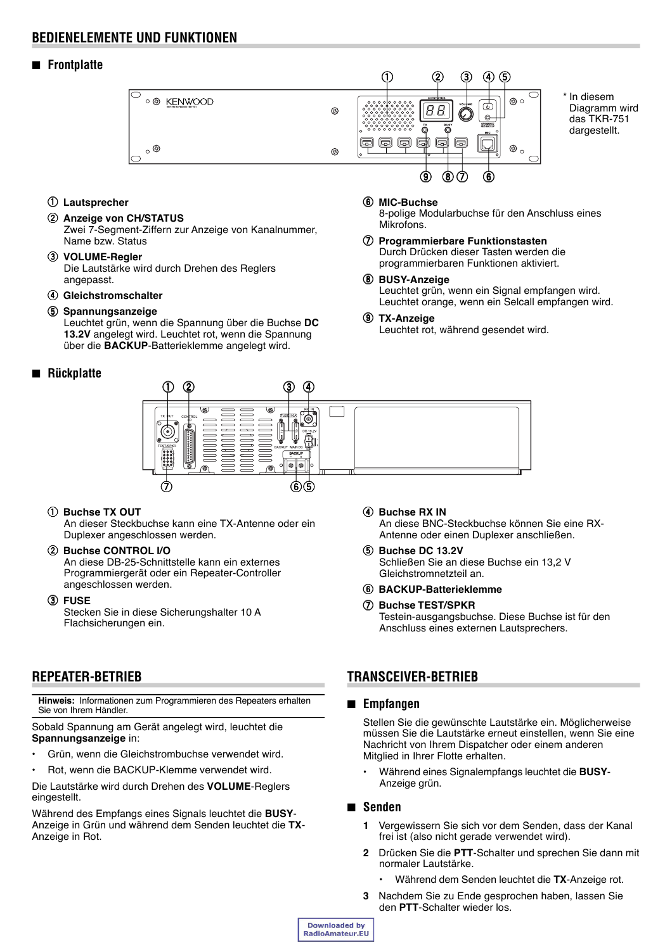## **BEDIENELEMENTE UND FUNKTIONEN**

## ■ **Frontplatte**



q **Lautsprecher**

## 2 Anzeige von CH/STATUS

Zwei 7-Segment-Ziffern zur Anzeige von Kanalnummer, Name bzw. Status

## e **VOLUME-Regler**

Die Lautstärke wird durch Drehen des Reglers angepasst.

#### r **Gleichstromschalter**

**5** Spannungsanzeige

Leuchtet grün, wenn die Spannung über die Buchse **DC 13.2V** angelegt wird. Leuchtet rot, wenn die Spannung über die **BACKUP**-Batterieklemme angelegt wird.

## ■ **Rückplatte**

#### $@$  MIC-Buchse

8-polige Modularbuchse für den Anschluss eines **Mikrofons** 

- u **Programmierbare Funktionstasten** Durch Drücken dieser Tasten werden die programmierbaren Funktionen aktiviert.
- i **BUSY-Anzeige** Leuchtet grün, wenn ein Signal empfangen wird. Leuchtet orange, wenn ein Selcall empfangen wird.

## o **TX-Anzeige**

Leuchtet rot, während gesendet wird.



## q **Buchse TX OUT**

An dieser Steckbuchse kann eine TX-Antenne oder ein Duplexer angeschlossen werden.

## **(2) Buchse CONTROL I/O**

An diese DB-25-Schnittstelle kann ein externes Programmiergerät oder ein Repeater-Controller angeschlossen werden.

e **FUSE**

Stecken Sie in diese Sicherungshalter 10 A Flachsicherungen ein.

# **REPEATER-BETRIEB**

**Hinweis:** Informationen zum Programmieren des Repeaters erhalten Sie von Ihrem Händler.

Sobald Spannung am Gerät angelegt wird, leuchtet die **Spannungsanzeige** in:

- Grün, wenn die Gleichstrombuchse verwendet wird.
- Rot, wenn die BACKUP-Klemme verwendet wird.

Die Lautstärke wird durch Drehen des **VOLUME**-Reglers eingestellt.

Während des Empfangs eines Signals leuchtet die **BUSY**-Anzeige in Grün und während dem Senden leuchtet die **TX**-Anzeige in Rot.

## **4** Buchse RX IN

An diese BNC-Steckbuchse können Sie eine RX-Antenne oder einen Duplexer anschließen.

#### **(5) Buchse DC 13.2V** Schließen Sie an diese Buchse ein 13,2 V Gleichstromnetzteil an.

## y **BACKUP-Batterieklemme**

#### u **Buchse TEST/SPKR**

Testein-ausgangsbuchse. Diese Buchse ist für den Anschluss eines externen Lautsprechers.

## **TRANSCEIVER-BETRIEB**

## ■ **Empfangen**

Stellen Sie die gewünschte Lautstärke ein. Möglicherweise müssen Sie die Lautstärke erneut einstellen, wenn Sie eine Nachricht von Ihrem Dispatcher oder einem anderen Mitglied in Ihrer Flotte erhalten.

ï Während eines Signalempfangs leuchtet die **BUSY**-Anzeige grün.

## ■ **Senden**

- **1** Vergewissern Sie sich vor dem Senden, dass der Kanal frei ist (also nicht gerade verwendet wird).
- **2** Drücken Sie die **PTT**-Schalter und sprechen Sie dann mit normaler Lautstärke.
	- Während dem Senden leuchtet die TX-Anzeige rot.
- **3** Nachdem Sie zu Ende gesprochen haben, lassen Sie den **PTT**-Schalter wieder los.

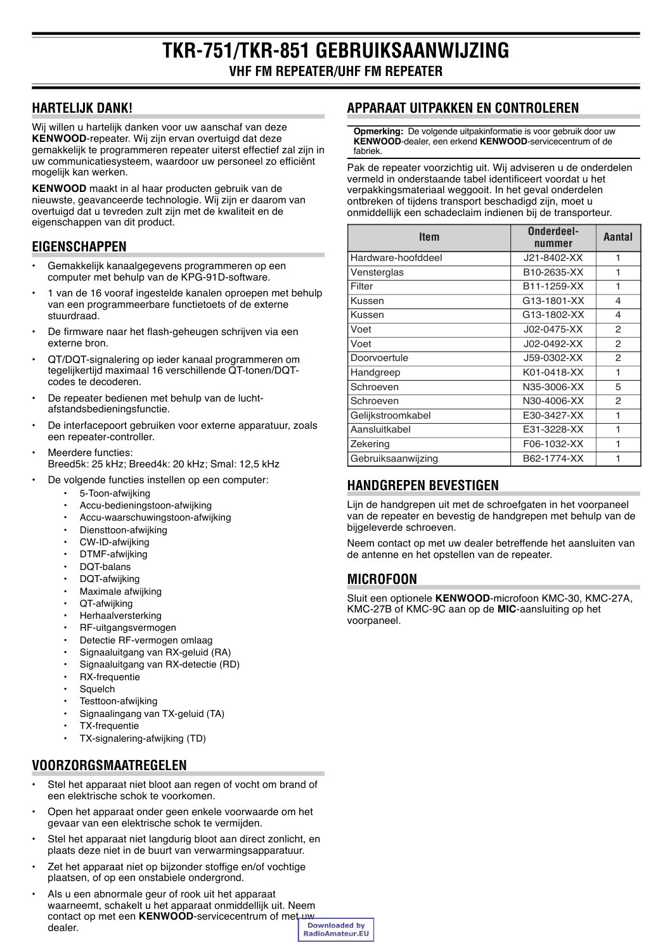# **HARTELIJK DANK!**

Wij willen u hartelijk danken voor uw aanschaf van deze **KENWOOD**-repeater. Wij zijn ervan overtuigd dat deze gemakkelijk te programmeren repeater uiterst effectief zal zijn in uw communicatiesysteem, waardoor uw personeel zo efficiënt mogelijk kan werken.

**KENWOOD** maakt in al haar producten gebruik van de nieuwste, geavanceerde technologie. Wij zijn er daarom van overtuigd dat u tevreden zult zijn met de kwaliteit en de eigenschappen van dit product.

# **EIGENSCHAPPEN**

- Gemakkelijk kanaalgegevens programmeren op een computer met behulp van de KPG-91D-software.
- 1 van de 16 vooraf ingestelde kanalen oproepen met behulp van een programmeerbare functietoets of de externe stuurdraad.
- De firmware naar het flash-geheugen schrijven via een externe bron.
- QT/DQT-signalering op ieder kanaal programmeren om tegelijkertijd maximaal 16 verschillende QT-tonen/DQTcodes te decoderen.
- De repeater bedienen met behulp van de luchtafstandsbedieningsfunctie.
- De interfacepoort gebruiken voor externe apparatuur, zoals een repeater-controller.
- Meerdere functies: Breed5k: 25 kHz; Breed4k: 20 kHz; Smal: 12,5 kHz
- De volgende functies instellen op een computer:
	- 5-Toon-afwijking
	- Accu-bedieningstoon-afwijking
	- Accu-waarschuwingstoon-afwijking
	- Diensttoon-afwijking
	- CW-ID-afwiiking
	- DTMF-afwijking
	- $\cdot$  DQT-balans
	- DQT-afwiiking
	- Maximale afwijking
	- QT-afwiiking
	- **Herhaalversterking**
	- RF-uitgangsvermogen
	- Detectie RF-vermogen omlaag
	- Signaaluitgang van RX-geluid (RA)
	- Signaaluitgang van RX-detectie (RD)
	- RX-frequentie
	- Squelch
	- Testtoon-afwijking
	- Signaalingang van TX-geluid (TA)
	- TX-frequentie
	- TX-signalering-afwijking (TD)

# **VOORZORGSMAATREGELEN**

- Stel het apparaat niet bloot aan regen of vocht om brand of een elektrische schok te voorkomen.
- Open het apparaat onder geen enkele voorwaarde om het gevaar van een elektrische schok te vermijden.
- Stel het apparaat niet langdurig bloot aan direct zonlicht, en plaats deze niet in de buurt van verwarmingsapparatuur.
- Zet het apparaat niet op bijzonder stoffige en/of vochtige plaatsen, of op een onstabiele ondergrond.
- Als u een abnormale geur of rook uit het apparaat waarneemt, schakelt u het apparaat onmiddellijk uit. Neem contact op met een **KENWOOD**-servicecentrum of met uw<br>declared the clear of dealer.RadioAmateur.EU

# **APPARAAT UITPAKKEN EN CONTROLEREN**

**Opmerking:** De volgende uitpakinformatie is voor gebruik door uw **KENWOOD**-dealer, een erkend **KENWOOD**-servicecentrum of de fabriek.

Pak de repeater voorzichtig uit. Wij adviseren u de onderdelen vermeld in onderstaande tabel identificeert voordat u het verpakkingsmateriaal weggooit. In het geval onderdelen ontbreken of tijdens transport beschadigd zijn, moet u onmiddellijk een schadeclaim indienen bij de transporteur.

| <b>Item</b>        | Onderdeel-<br>nummer | Aantal        |
|--------------------|----------------------|---------------|
| Hardware-hoofddeel | J21-8402-XX          | 1             |
| Vensterglas        | B10-2635-XX          | 1             |
| Filter             | B11-1259-XX          | 1             |
| Kussen             | G13-1801-XX          | 4             |
| Kussen             | G13-1802-XX          | 4             |
| Voet               | J02-0475-XX          | 2             |
| Voet               | J02-0492-XX          | $\mathcal{P}$ |
| Doorvoertule       | J59-0302-XX          | 2             |
| Handgreep          | K01-0418-XX          | 1             |
| Schroeven          | N35-3006-XX          | 5             |
| Schroeven          | N30-4006-XX          | 2             |
| Gelijkstroomkabel  | E30-3427-XX          | 1             |
| Aansluitkabel      | E31-3228-XX          |               |
| Zekering           | F06-1032-XX          | 1             |
| Gebruiksaanwijzing | B62-1774-XX          |               |

# **HANDGREPEN BEVESTIGEN**

Lijn de handgrepen uit met de schroefgaten in het voorpaneel van de repeater en bevestig de handgrepen met behulp van de bijgeleverde schroeven.

Neem contact op met uw dealer betreffende het aansluiten van de antenne en het opstellen van de repeater.

# **MICROFOON**

Sluit een optionele **KENWOOD**-microfoon KMC-30, KMC-27A, KMC-27B of KMC-9C aan op de **MIC**-aansluiting op het voorpaneel.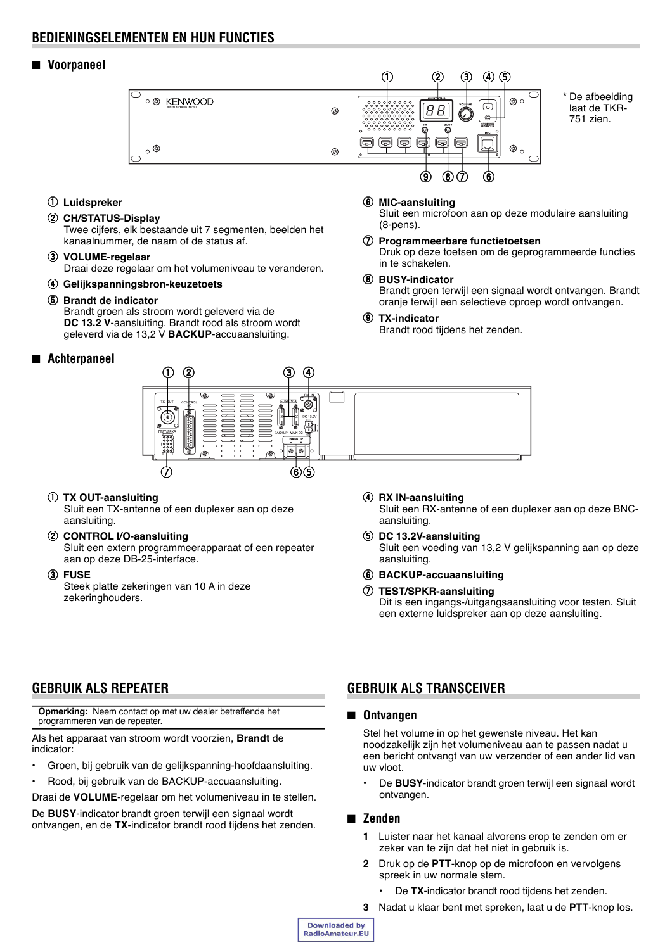## **BEDIENINGSELEMENTEN EN HUN FUNCTIES**

## ■ **Voorpaneel**



q **Luidspreker**

## w **CH/STATUS-Display**

Twee cijfers, elk bestaande uit 7 segmenten, beelden het kanaalnummer, de naam of de status af.

## e **VOLUME-regelaar**

Draai deze regelaar om het volumeniveau te veranderen.

r **Gelijkspanningsbron-keuzetoets**

#### **(5) Brandt de indicator**

Brandt groen als stroom wordt geleverd via de **DC 13.2 V**-aansluiting. Brandt rood als stroom wordt geleverd via de 13,2 V **BACKUP**-accuaansluiting.

## ■ **Achterpaneel**

## (8-pens). u **Programmeerbare functietoetsen**

y **MIC-aansluiting**

Druk op deze toetsen om de geprogrammeerde functies in te schakelen.

Sluit een microfoon aan op deze modulaire aansluiting

## i **BUSY-indicator**

Brandt groen terwijl een signaal wordt ontvangen. Brandt oranje terwijl een selectieve oproep wordt ontvangen.

#### o **TX-indicator**

Brandt rood tijdens het zenden.



#### q **TX OUT-aansluiting**

Sluit een TX-antenne of een duplexer aan op deze aansluiting.

#### w **CONTROL I/O-aansluiting** Sluit een extern programmeerapparaat of een repeater aan op deze DB-25-interface.

e **FUSE**

Steek platte zekeringen van 10 A in deze zekeringhouders.

- r **RX IN-aansluiting** Sluit een RX-antenne of een duplexer aan op deze BNCaansluiting.
- **5** DC 13.2V-aansluiting Sluit een voeding van 13,2 V gelijkspanning aan op deze aansluiting.
- y **BACKUP-accuaansluiting**
- u **TEST/SPKR-aansluiting** Dit is een ingangs-/uitgangsaansluiting voor testen. Sluit een externe luidspreker aan op deze aansluiting.

# **GEBRUIK ALS REPEATER**

**Opmerking:** Neem contact op met uw dealer betreffende het programmeren van de repeater.

Als het apparaat van stroom wordt voorzien, **Brandt** de indicator:

- ï Groen, bij gebruik van de gelijkspanning-hoofdaansluiting.
- Rood, bij gebruik van de BACKUP-accuaansluiting.

Draai de **VOLUME**-regelaar om het volumeniveau in te stellen.

De **BUSY**-indicator brandt groen terwijl een signaal wordt ontvangen, en de **TX**-indicator brandt rood tijdens het zenden.

# **GEBRUIK ALS TRANSCEIVER**

## ■ **Ontvangen**

Stel het volume in op het gewenste niveau. Het kan noodzakelijk zijn het volumeniveau aan te passen nadat u een bericht ontvangt van uw verzender of een ander lid van uw vloot.

De **BUSY**-indicator brandt groen terwijl een signaal wordt ontvangen.

## ■ **Zenden**

- **1** Luister naar het kanaal alvorens erop te zenden om er zeker van te zijn dat het niet in gebruik is.
- **2** Druk op de **PTT**-knop op de microfoon en vervolgens spreek in uw normale stem.
	- De TX-indicator brandt rood tijdens het zenden.
- **3** Nadat u klaar bent met spreken, laat u de **PTT**-knop los.